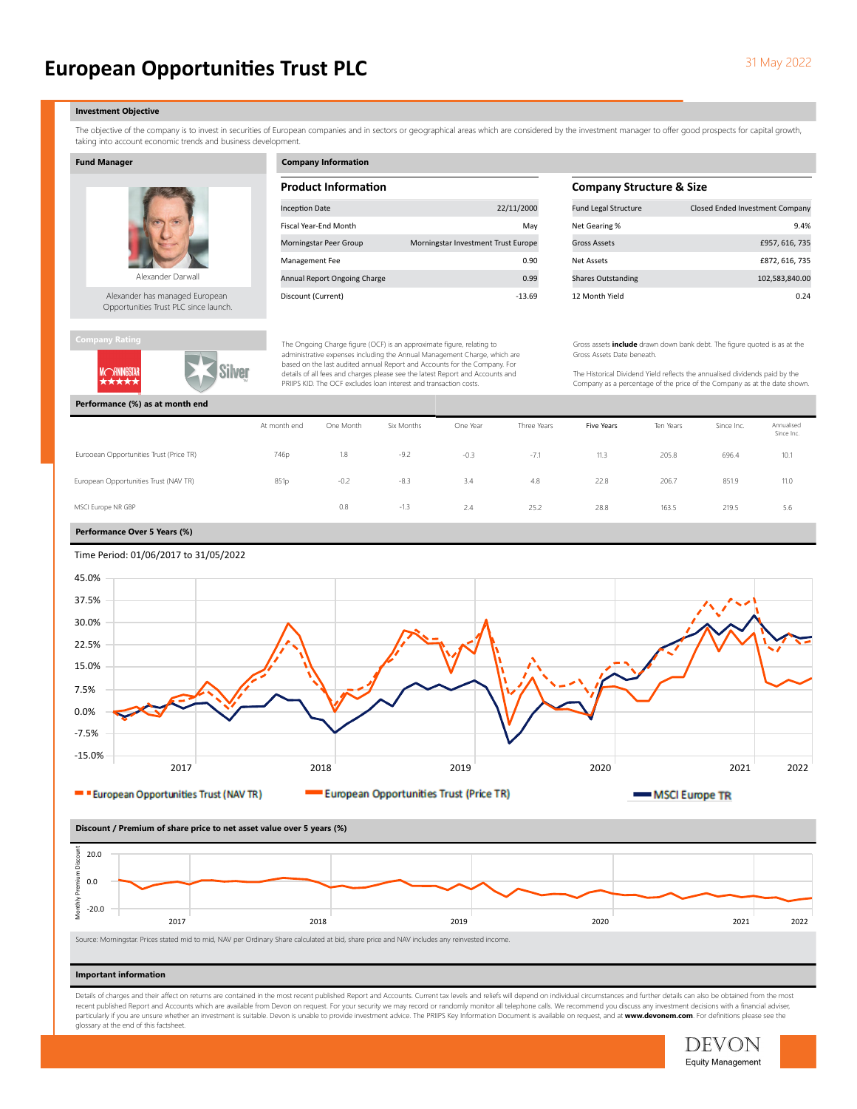# **European Opportunities Trust PLC** 31 May 2022

#### Investment Objective

The objective of the company is to invest in securities of European companies and in sectors or geographical areas which are considered by the investment manager to offer good prospects for capital growth, taking into account economic trends and business development.

### Fund Manager



Alexander has managed European Opportunities Trust PLC since launch.



# Company Information

| <b>Product Information</b>   |                                     |  |  |  |  |
|------------------------------|-------------------------------------|--|--|--|--|
| <b>Inception Date</b>        | 22/11/2000                          |  |  |  |  |
| <b>Fiscal Year-End Month</b> | May                                 |  |  |  |  |
| Morningstar Peer Group       | Morningstar Investment Trust Europe |  |  |  |  |
| <b>Management Fee</b>        | 0.90                                |  |  |  |  |
| Annual Report Ongoing Charge | 0.99                                |  |  |  |  |
| Discount (Current)           | $-13.69$                            |  |  |  |  |

The Ongoing Charge figure (OCF) is an approximate figure, relating to administrative expenses including the Annual Management Charge, which are based on the last audited annual Report and Accounts for the Company. For details of all fees and charges please see the latest Report and Accounts and PRIIPS KID. The OCF excludes loan interest and transaction costs.

# **Company Structure & Size**

| <b>Fund Legal Structure</b> | Closed Ended Investment Company |
|-----------------------------|---------------------------------|
| Net Gearing %               | 9.4%                            |
| Gross Assets                | £957, 616, 735                  |
| Net Assets                  | £872, 616, 735                  |
| <b>Shares Outstanding</b>   | 102,583,840.00                  |
| 12 Month Yield              | በ 24                            |

Gross assets include drawn down bank debt. The figure quoted is as at the Gross Assets Date beneath.

The Historical Dividend Yield reflects the annualised dividends paid by the Company as a percentage of the price of the Company as at the date shown.

|                                         | At month end | One Month | Six Months | One Year | Three Years | Five Years | Ten Years | Since Inc. | Annualised<br>Since Inc. |
|-----------------------------------------|--------------|-----------|------------|----------|-------------|------------|-----------|------------|--------------------------|
| Eurooean Opportunities Trust (Price TR) | 746p         | 1.8       | $-9.2$     | $-0.3$   | $-7.1$      | 11.3       | 205.8     | 696.4      | 10.1                     |
| European Opportunities Trust (NAV TR)   | 851p         | $-0.2$    | $-8.3$     | 3.4      | 4.8         | 22.8       | 206.7     | 851.9      | 11.0                     |
| MSCI Europe NR GBP                      |              | 0.8       | $-1.3$     | 2.4      | 25.2        | 28.8       | 163.5     | 219.5      | 5.6                      |

# Performance Over 5 Years (%)



# 2017 2018 2019 2020 2021 2022  $-20.0$ 0.0 20.0 Discount / Premium of share price to net asset value over 5 years (%)<br> $\frac{2}{3}$ <br> $\frac{2}{3}$ <br> $\frac{2}{3}$ <br> $\frac{2}{3}$ <br> $\frac{2}{3}$ <br> $\frac{2}{3}$ <br> $\frac{2}{3}$ <br> $\frac{2}{3}$ <br> $\frac{2}{3}$ <br> $\frac{2}{3}$ <br> $\frac{2}{3}$ <br> $\frac{2}{3}$ <br> $\frac{2}{3}$ <br> $\frac{2}{3}$ <br> $\frac{2}{3}$ <br>

Source: Morningstar. Prices stated mid to mid, NAV per Ordinary Share calculated at bid, share price and NAV includes any reinvested income.

### Important information

Details of charges and their affect on returns are contained in the most recent published Report and Accounts. Current tax levels and reliefs will depend on individual circumstances and further details can also be obtained recent published Report and Accounts which are available from Devon on request. For your security we may record or randomly monitor all telephone calls. We recommend you discuss any investment decisions with a financial ad particularly if you are unsure whether an investment is suitable. Devon is unable to provide investment advice. The PRIIPS Key Information Document is available on request, and at www.devonem.com. For definitions please se glossary at the end of this factsheet.

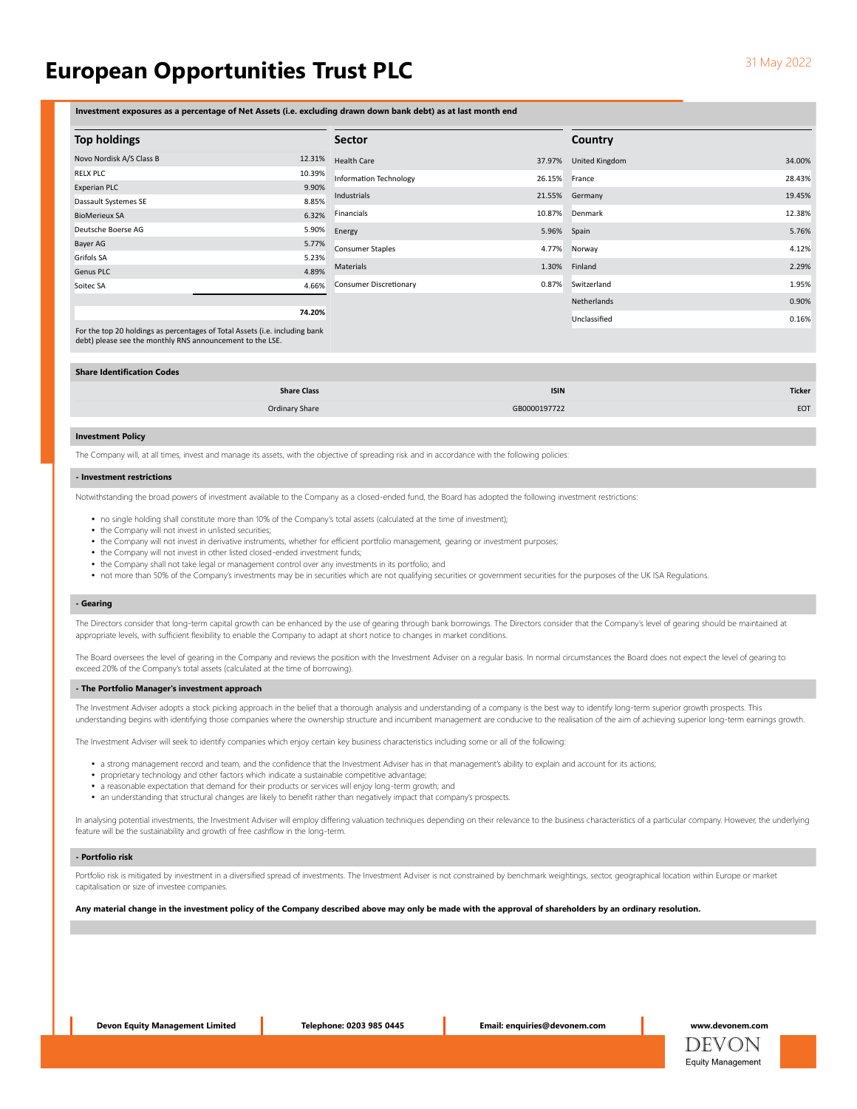# European Opportunities Trust PLC **SALL CONVERTS 2002** 31 May 2022

Investment exposures as a percentage of Net Assets (i.e. excluding drawn down bank debt) as at last month end

| <b>Top holdings</b>      |        | <b>Sector</b>                 |               | Country           |        |
|--------------------------|--------|-------------------------------|---------------|-------------------|--------|
| Novo Nordisk A/S Class B | 12.31% | <b>Health Care</b>            | 37.97%        | United Kingdom    | 34.00% |
| RELX PLC                 | 10.39% | Information Technology        | 26.15% France |                   | 28.43% |
| Experian PLC             | 9.90%  |                               |               |                   |        |
| Dassault Systemes SE     | 8.85%  | Industrials                   |               | 21.55% Germany    | 19.45% |
| <b>BioMerieux SA</b>     | 6.32%  | Financials                    |               | 10.87% Denmark    | 12.38% |
| Deutsche Boerse AG       | 5.90%  | Energy                        | 5.96%         | Spain             | 5.76%  |
| Bayer AG                 | 5.77%  | <b>Consumer Staples</b>       | 4.77%         | Norway            | 4.12%  |
| Grifols SA               | 5.23%  |                               |               |                   |        |
| Genus PLC                | 4.89%  | Materials                     | 1.30%         | Finland           | 2.29%  |
| Soitec SA                | 4.66%  | <b>Consumer Discretionary</b> |               | 0.87% Switzerland | 1.95%  |
|                          |        |                               |               | Netherlands       | 0.90%  |
| 74.20%                   |        |                               |               | Unclassified      | 0.16%  |

For the top 20 holdings as percentages of Total Assets (i.e. including bank debt) please see the monthly RNS announcement to the LSE.

#### Share Identification Codes

| <b>Share Class</b> | <b>ISIN</b>  | <b>Ticker</b> |
|--------------------|--------------|---------------|
| Ordinary Share     | GB0000197722 | EOT           |

# Investment Policy

The Company will, at all times, invest and manage its assets, with the objective of spreading risk and in accordance with the following policies

#### - Investment restrictions

Notwithstanding the broad powers of investment available to the Company as a closed-ended fund, the Board has adopted the following investment restrictions:

- no single holding shall constitute more than 10% of the Company's total assets (calculated at the time of investment);
- the Company will not invest in unlisted securities;
- the Company will not invest in derivative instruments, whether for efficient portfolio management, gearing or investment purposes;
- the Company will not invest in other listed closed-ended investment funds;
- the Company shall not take legal or management control over any investments in its portfolio; and
- not more than 50% of the Company's investments may be in securities which are not qualifying securities or government securities for the purposes of the UK ISA Regulations.

# - Gearing

The Directors consider that long-term capital growth can be enhanced by the use of gearing through bank borrowings. The Directors consider that the Company's level of gearing should be maintained at appropriate levels, with sufficient flexibility to enable the Company to adapt at short notice to changes in market conditions.

The Board oversees the level of gearing in the Company and reviews the position with the Investment Adviser on a regular basis. In normal circumstances the Board does not expect the level of gearing to exceed 20% of the Company's total assets (calculated at the time of borrowing).

#### - The Portfolio Manager's investment approach

The Investment Adviser adopts a stock picking approach in the belief that a thorough analysis and understanding of a company is the best way to identify long-term superior growth prospects. This understanding begins with identifying those companies where the ownership structure and incumbent management are conducive to the realisation of the aim of achieving superior long-term earnings growth.

The Investment Adviser will seek to identify companies which enjoy certain key business characteristics including some or all of the following:

- a strong management record and team, and the confidence that the Investment Adviser has in that management's ability to explain and account for its actions;
- proprietary technology and other factors which indicate a sustainable competitive advantage;
- a reasonable expectation that demand for their products or services will enjoy long-term growth; and
- an understanding that structural changes are likely to benefit rather than negatively impact that company's prospects.

In analysing potential investments, the Investment Adviser will employ differing valuation techniques depending on their relevance to the business characteristics of a particular company. However, the underlying feature will be the sustainability and growth of free cashflow in the long-term.

#### - Portfolio risk

Portfolio risk is mitigated by investment in a diversified spread of investments. The Investment Adviser is not constrained by benchmark weightings, sector, geographical location within Europe or market capitalisation or size of investee companies.

Any material change in the investment policy of the Company described above may only be made with the approval of shareholders by an ordinary resolution.